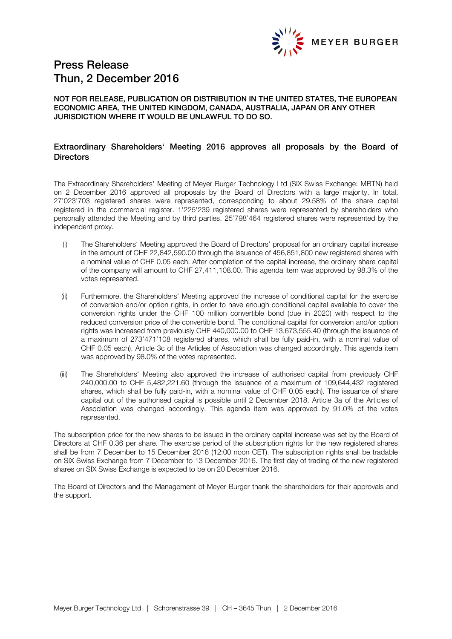

# Press Release Thun, 2 December 2016

# NOT FOR RELEASE, PUBLICATION OR DISTRIBUTION IN THE UNITED STATES, THE EUROPEAN ECONOMIC AREA, THE UNITED KINGDOM, CANADA, AUSTRALIA, JAPAN OR ANY OTHER JURISDICTION WHERE IT WOULD BE UNLAWFUL TO DO SO.

# Extraordinary Shareholders' Meeting 2016 approves all proposals by the Board of **Directors**

The Extraordinary Shareholders' Meeting of Meyer Burger Technology Ltd (SIX Swiss Exchange: MBTN) held on 2 December 2016 approved all proposals by the Board of Directors with a large majority. In total, 27'023'703 registered shares were represented, corresponding to about 29.58% of the share capital registered in the commercial register. 1'225'239 registered shares were represented by shareholders who personally attended the Meeting and by third parties. 25'798'464 registered shares were represented by the independent proxy.

- (i) The Shareholders' Meeting approved the Board of Directors' proposal for an ordinary capital increase in the amount of CHF 22,842,590.00 through the issuance of 456,851,800 new registered shares with a nominal value of CHF 0.05 each. After completion of the capital increase, the ordinary share capital of the company will amount to CHF 27,411,108.00. This agenda item was approved by 98.3% of the votes represented.
- (ii) Furthermore, the Shareholders' Meeting approved the increase of conditional capital for the exercise of conversion and/or option rights, in order to have enough conditional capital available to cover the conversion rights under the CHF 100 million convertible bond (due in 2020) with respect to the reduced conversion price of the convertible bond. The conditional capital for conversion and/or option rights was increased from previously CHF 440,000.00 to CHF 13,673,555.40 (through the issuance of a maximum of 273'471'108 registered shares, which shall be fully paid-in, with a nominal value of CHF 0.05 each). Article 3c of the Articles of Association was changed accordingly. This agenda item was approved by 98.0% of the votes represented.
- (iii) The Shareholders' Meeting also approved the increase of authorised capital from previously CHF 240,000.00 to CHF 5,482,221.60 (through the issuance of a maximum of 109,644,432 registered shares, which shall be fully paid-in, with a nominal value of CHF 0.05 each). The issuance of share capital out of the authorised capital is possible until 2 December 2018. Article 3a of the Articles of Association was changed accordingly. This agenda item was approved by 91.0% of the votes represented.

The subscription price for the new shares to be issued in the ordinary capital increase was set by the Board of Directors at CHF 0.36 per share. The exercise period of the subscription rights for the new registered shares shall be from 7 December to 15 December 2016 (12:00 noon CET). The subscription rights shall be tradable on SIX Swiss Exchange from 7 December to 13 December 2016. The first day of trading of the new registered shares on SIX Swiss Exchange is expected to be on 20 December 2016.

The Board of Directors and the Management of Meyer Burger thank the shareholders for their approvals and the support.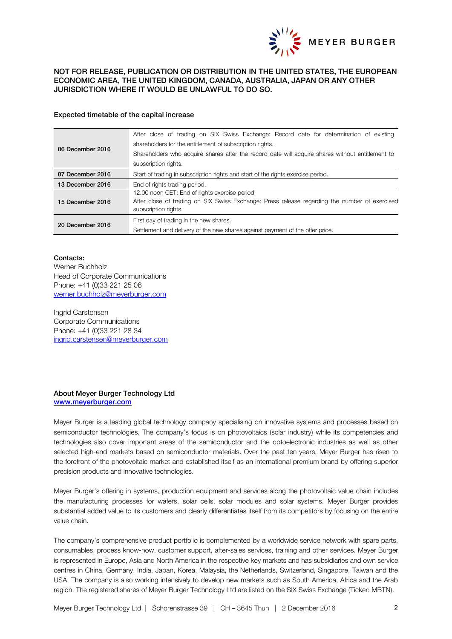

# NOT FOR RELEASE, PUBLICATION OR DISTRIBUTION IN THE UNITED STATES, THE EUROPEAN ECONOMIC AREA, THE UNITED KINGDOM, CANADA, AUSTRALIA, JAPAN OR ANY OTHER JURISDICTION WHERE IT WOULD BE UNLAWFUL TO DO SO.

#### Expected timetable of the capital increase

| 06 December 2016 | After close of trading on SIX Swiss Exchange: Record date for determination of existing<br>shareholders for the entitlement of subscription rights.<br>Shareholders who acquire shares after the record date will acquire shares without entitlement to<br>subscription rights. |
|------------------|---------------------------------------------------------------------------------------------------------------------------------------------------------------------------------------------------------------------------------------------------------------------------------|
| 07 December 2016 | Start of trading in subscription rights and start of the rights exercise period.                                                                                                                                                                                                |
| 13 December 2016 | End of rights trading period.                                                                                                                                                                                                                                                   |
| 15 December 2016 | 12.00 noon CET: End of rights exercise period.<br>After close of trading on SIX Swiss Exchange: Press release regarding the number of exercised<br>subscription rights.                                                                                                         |
| 20 December 2016 | First day of trading in the new shares.<br>Settlement and delivery of the new shares against payment of the offer price.                                                                                                                                                        |

#### Contacts:

Werner Buchholz Head of Corporate Communications Phone: +41 (0)33 221 25 06 werner.buchholz@meyerburger.com

Ingrid Carstensen Corporate Communications Phone: +41 (0)33 221 28 34 [ingrid.carstensen@meyerburger.com](mailto:ingrid.carstensen@meyerburger.com)

#### About Meyer Burger Technology Ltd [www.meyerburger.com](http://www.meyerburger.com/)

Meyer Burger is a leading global technology company specialising on innovative systems and processes based on semiconductor technologies. The company's focus is on photovoltaics (solar industry) while its competencies and technologies also cover important areas of the semiconductor and the optoelectronic industries as well as other selected high-end markets based on semiconductor materials. Over the past ten years, Meyer Burger has risen to the forefront of the photovoltaic market and established itself as an international premium brand by offering superior precision products and innovative technologies.

Meyer Burger's offering in systems, production equipment and services along the photovoltaic value chain includes the manufacturing processes for wafers, solar cells, solar modules and solar systems. Meyer Burger provides substantial added value to its customers and clearly differentiates itself from its competitors by focusing on the entire value chain.

The company's comprehensive product portfolio is complemented by a worldwide service network with spare parts, consumables, process know-how, customer support, after-sales services, training and other services. Meyer Burger is represented in Europe, Asia and North America in the respective key markets and has subsidiaries and own service centres in China, Germany, India, Japan, Korea, Malaysia, the Netherlands, Switzerland, Singapore, Taiwan and the USA. The company is also working intensively to develop new markets such as South America, Africa and the Arab region. The registered shares of Meyer Burger Technology Ltd are listed on the SIX Swiss Exchange (Ticker: MBTN).